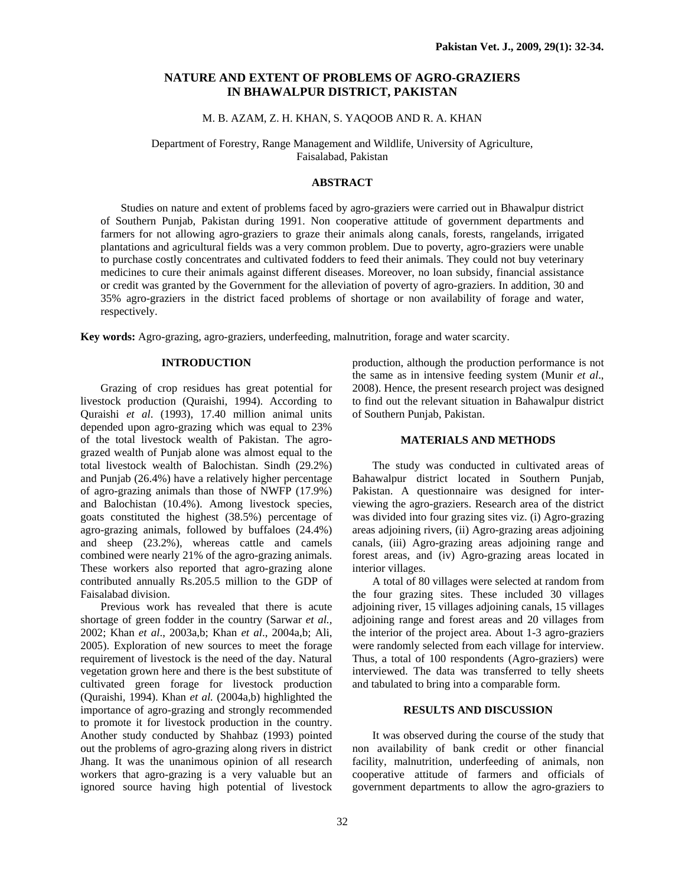# **NATURE AND EXTENT OF PROBLEMS OF AGRO-GRAZIERS IN BHAWALPUR DISTRICT, PAKISTAN**

## M. B. AZAM, Z. H. KHAN, S. YAQOOB AND R. A. KHAN

Department of Forestry, Range Management and Wildlife, University of Agriculture, Faisalabad, Pakistan

### **ABSTRACT**

Studies on nature and extent of problems faced by agro-graziers were carried out in Bhawalpur district of Southern Punjab, Pakistan during 1991. Non cooperative attitude of government departments and farmers for not allowing agro-graziers to graze their animals along canals, forests, rangelands, irrigated plantations and agricultural fields was a very common problem. Due to poverty, agro-graziers were unable to purchase costly concentrates and cultivated fodders to feed their animals. They could not buy veterinary medicines to cure their animals against different diseases. Moreover, no loan subsidy, financial assistance or credit was granted by the Government for the alleviation of poverty of agro-graziers. In addition, 30 and 35% agro-graziers in the district faced problems of shortage or non availability of forage and water, respectively.

**Key words:** Agro-grazing, agro-graziers, underfeeding, malnutrition, forage and water scarcity.

### **INTRODUCTION**

Grazing of crop residues has great potential for livestock production (Quraishi, 1994). According to Quraishi *et al*. (1993), 17.40 million animal units depended upon agro-grazing which was equal to 23% of the total livestock wealth of Pakistan. The agrograzed wealth of Punjab alone was almost equal to the total livestock wealth of Balochistan. Sindh (29.2%) and Punjab (26.4%) have a relatively higher percentage of agro-grazing animals than those of NWFP (17.9%) and Balochistan (10.4%). Among livestock species, goats constituted the highest (38.5%) percentage of agro-grazing animals, followed by buffaloes (24.4%) and sheep (23.2%), whereas cattle and camels combined were nearly 21% of the agro-grazing animals. These workers also reported that agro-grazing alone contributed annually Rs.205.5 million to the GDP of Faisalabad division.

Previous work has revealed that there is acute shortage of green fodder in the country (Sarwar *et al.,*  2002; Khan *et al*., 2003a,b; Khan *et al*., 2004a,b; Ali, 2005). Exploration of new sources to meet the forage requirement of livestock is the need of the day. Natural vegetation grown here and there is the best substitute of cultivated green forage for livestock production (Quraishi, 1994). Khan *et al.* (2004a,b) highlighted the importance of agro-grazing and strongly recommended to promote it for livestock production in the country. Another study conducted by Shahbaz (1993) pointed out the problems of agro-grazing along rivers in district Jhang. It was the unanimous opinion of all research workers that agro-grazing is a very valuable but an ignored source having high potential of livestock

production, although the production performance is not the same as in intensive feeding system (Munir *et al*., 2008). Hence, the present research project was designed to find out the relevant situation in Bahawalpur district of Southern Punjab, Pakistan.

#### **MATERIALS AND METHODS**

The study was conducted in cultivated areas of Bahawalpur district located in Southern Punjab, Pakistan. A questionnaire was designed for interviewing the agro-graziers. Research area of the district was divided into four grazing sites viz. (i) Agro-grazing areas adjoining rivers, (ii) Agro-grazing areas adjoining canals, (iii) Agro-grazing areas adjoining range and forest areas, and (iv) Agro-grazing areas located in interior villages.

A total of 80 villages were selected at random from the four grazing sites. These included 30 villages adjoining river, 15 villages adjoining canals, 15 villages adjoining range and forest areas and 20 villages from the interior of the project area. About 1-3 agro-graziers were randomly selected from each village for interview. Thus, a total of 100 respondents (Agro-graziers) were interviewed. The data was transferred to telly sheets and tabulated to bring into a comparable form.

## **RESULTS AND DISCUSSION**

It was observed during the course of the study that non availability of bank credit or other financial facility, malnutrition, underfeeding of animals, non cooperative attitude of farmers and officials of government departments to allow the agro-graziers to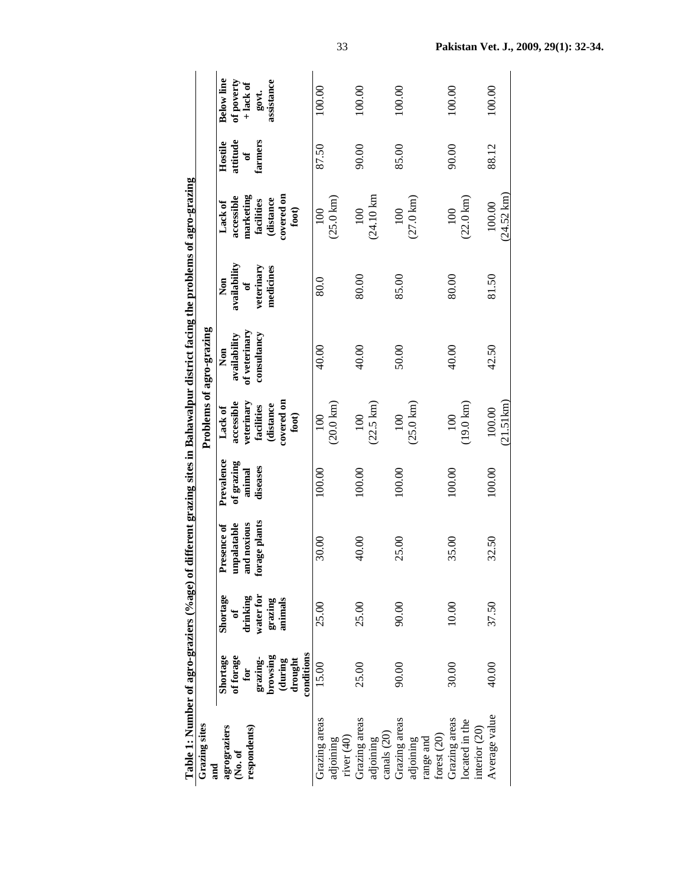| Grazing sites<br>and                                   |                                                          |                                 |                                           |                                    |                                                | Problems of agro-grazing             |                          |                                               |                          |                                                |
|--------------------------------------------------------|----------------------------------------------------------|---------------------------------|-------------------------------------------|------------------------------------|------------------------------------------------|--------------------------------------|--------------------------|-----------------------------------------------|--------------------------|------------------------------------------------|
| agrograziers<br>respondents)<br>$\mathbf{No. of}$      | Shortage<br>of forage<br>for                             | Shortage<br>drinking<br>J       | and noxious<br>unpalatable<br>Presence of | Prevalence<br>of grazing<br>animal | accessible<br>veterinary<br>Lack of            | of veterinary<br>availability<br>Non | availability<br>Non<br>ಕ | marketing<br>accessible<br>Lack of            | attitude<br>Hostile<br>ð | <b>Below</b> line<br>of poverty<br>$+$ lack of |
|                                                        | conditions<br>browsing<br>(during<br>grazing-<br>drought | water for<br>animals<br>grazing | forage plants                             | diseases                           | covered on<br>(distance<br>facilities<br>foot) | consultancy                          | veterinary<br>medicines  | covered on<br>distance<br>facilities<br>foot) | farmers                  | assistance<br>govt.                            |
| Grazing areas<br>$\vec{\text{rver}}(40)$<br>adjoining  | 15.00                                                    | 25.00                           | 30.00                                     | 100.00                             | $(20.0 \text{ km})$<br>100                     | 40.00                                | 80.0                     | $(25.0 \text{ km})$<br>100                    | 87.50                    | 100.00                                         |
| Grazing areas<br>canals (20)<br>adjoining              | 25.00                                                    | 25.00                           | 40.00                                     | 100.00                             | $(22.5 \text{ km})$<br>100                     | 40.00                                | 80.00                    | $(24.10 \text{ km})$<br>100                   | 90.00                    | 100.00                                         |
| Grazing areas<br>forest (20)<br>adjoining<br>range and | 90.00                                                    | 90.00                           | 25.00                                     | 100.00                             | $(25.0 \text{ km})$<br>100                     | 50.00                                | 85.00                    | $(27.0 \,\mathrm{km})$<br>100                 | 85.00                    | 100.00                                         |
| Grazing areas<br>located in the<br>interior $(20)$     | 30.00                                                    | 10.00                           | 35.00                                     | 100.00                             | $(19.0 \text{ km})$<br>100                     | 40.00                                | 80.00                    | $(22.0 \text{ km})$<br>100                    | 90.00                    | 100.00                                         |
| Average value                                          | 40.00                                                    | 37.50                           | 32.50                                     | 100.00                             | (21.51km)<br>100.00                            | 42.50                                | 81.50                    | $(24.52 \text{ km})$<br>100.00                | 88.12                    | 100.00                                         |